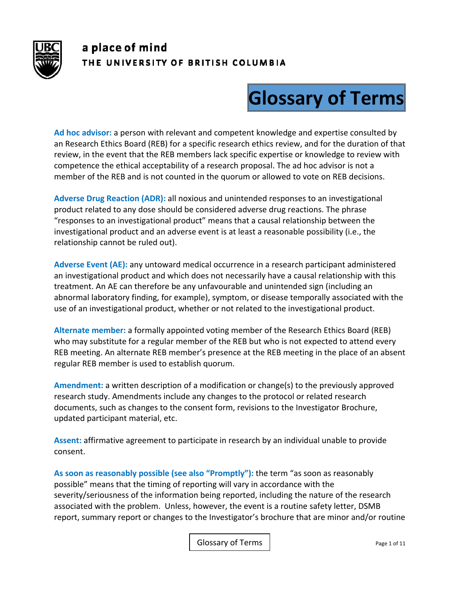

## a place of mind THE UNIVERSITY OF BRITISH COLUMBIA

## **Glossary of Terms**

**Ad hoc advisor:** a person with relevant and competent knowledge and expertise consulted by an Research Ethics Board (REB) for a specific research ethics review, and for the duration of that review, in the event that the REB members lack specific expertise or knowledge to review with competence the ethical acceptability of a research proposal. The ad hoc advisor is not a member of the REB and is not counted in the quorum or allowed to vote on REB decisions.

**Adverse Drug Reaction (ADR):** all noxious and unintended responses to an investigational product related to any dose should be considered adverse drug reactions. The phrase "responses to an investigational product" means that a causal relationship between the investigational product and an adverse event is at least a reasonable possibility (i.e., the relationship cannot be ruled out).

**Adverse Event (AE):** any untoward medical occurrence in a research participant administered an investigational product and which does not necessarily have a causal relationship with this treatment. An AE can therefore be any unfavourable and unintended sign (including an abnormal laboratory finding, for example), symptom, or disease temporally associated with the use of an investigational product, whether or not related to the investigational product.

**Alternate member:** a formally appointed voting member of the Research Ethics Board (REB) who may substitute for a regular member of the REB but who is not expected to attend every REB meeting. An alternate REB member's presence at the REB meeting in the place of an absent regular REB member is used to establish quorum.

**Amendment:** a written description of a modification or change(s) to the previously approved research study. Amendments include any changes to the protocol or related research documents, such as changes to the consent form, revisions to the Investigator Brochure, updated participant material, etc.

**Assent:** affirmative agreement to participate in research by an individual unable to provide consent.

**As soon as reasonably possible (see also "Promptly"):** the term "as soon as reasonably possible" means that the timing of reporting will vary in accordance with the severity/seriousness of the information being reported, including the nature of the research associated with the problem. Unless, however, the event is a routine safety letter, DSMB report, summary report or changes to the Investigator's brochure that are minor and/or routine

Glossary of Terms | The Contract Contract Contract Page 1 of 11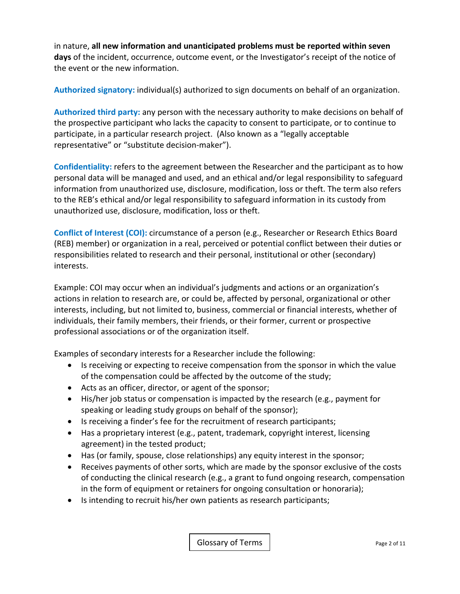in nature, **all new information and unanticipated problems must be reported within seven days** of the incident, occurrence, outcome event, or the Investigator's receipt of the notice of the event or the new information.

**Authorized signatory:** individual(s) authorized to sign documents on behalf of an organization.

**Authorized third party:** any person with the necessary authority to make decisions on behalf of the prospective participant who lacks the capacity to consent to participate, or to continue to participate, in a particular research project. (Also known as a "legally acceptable representative" or "substitute decision‐maker").

**Confidentiality:** refers to the agreement between the Researcher and the participant as to how personal data will be managed and used, and an ethical and/or legal responsibility to safeguard information from unauthorized use, disclosure, modification, loss or theft. The term also refers to the REB's ethical and/or legal responsibility to safeguard information in its custody from unauthorized use, disclosure, modification, loss or theft.

**Conflict of Interest (COI):** circumstance of a person (e.g., Researcher or Research Ethics Board (REB) member) or organization in a real, perceived or potential conflict between their duties or responsibilities related to research and their personal, institutional or other (secondary) interests.

Example: COI may occur when an individual's judgments and actions or an organization's actions in relation to research are, or could be, affected by personal, organizational or other interests, including, but not limited to, business, commercial or financial interests, whether of individuals, their family members, their friends, or their former, current or prospective professional associations or of the organization itself.

Examples of secondary interests for a Researcher include the following:

- Is receiving or expecting to receive compensation from the sponsor in which the value of the compensation could be affected by the outcome of the study;
- Acts as an officer, director, or agent of the sponsor;
- His/her job status or compensation is impacted by the research (e.g., payment for speaking or leading study groups on behalf of the sponsor);
- Is receiving a finder's fee for the recruitment of research participants;
- Has a proprietary interest (e.g., patent, trademark, copyright interest, licensing agreement) in the tested product;
- Has (or family, spouse, close relationships) any equity interest in the sponsor;
- Receives payments of other sorts, which are made by the sponsor exclusive of the costs of conducting the clinical research (e.g., a grant to fund ongoing research, compensation in the form of equipment or retainers for ongoing consultation or honoraria);
- Is intending to recruit his/her own patients as research participants;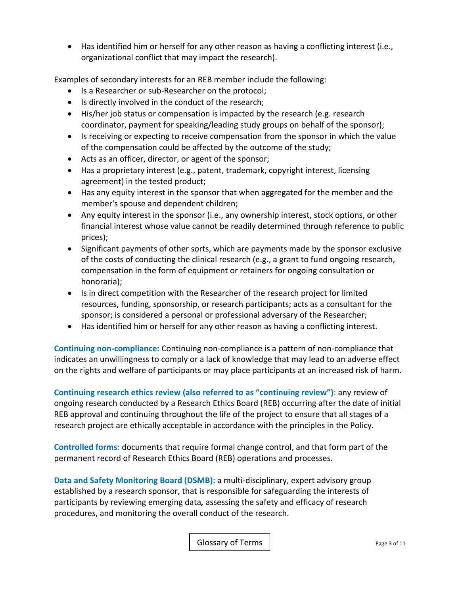Has identified him or herself for any other reason as having a conflicting interest (i.e., organizational conflict that may impact the research).

Examples of secondary interests for an REB member include the following:

- Is a Researcher or sub-Researcher on the protocol;
- Is directly involved in the conduct of the research;
- His/her job status or compensation is impacted by the research (e.g. research coordinator, payment for speaking/leading study groups on behalf of the sponsor);
- Is receiving or expecting to receive compensation from the sponsor in which the value of the compensation could be affected by the outcome of the study;
- Acts as an officer, director, or agent of the sponsor;
- Has a proprietary interest (e.g., patent, trademark, copyright interest, licensing agreement) in the tested product;
- Has any equity interest in the sponsor that when aggregated for the member and the member's spouse and dependent children;
- Any equity interest in the sponsor (i.e., any ownership interest, stock options, or other financial interest whose value cannot be readily determined through reference to public prices);
- Significant payments of other sorts, which are payments made by the sponsor exclusive of the costs of conducting the clinical research (e.g., a grant to fund ongoing research, compensation in the form of equipment or retainers for ongoing consultation or honoraria);
- Is in direct competition with the Researcher of the research project for limited resources, funding, sponsorship, or research participants; acts as a consultant for the sponsor; is considered a personal or professional adversary of the Researcher;
- Has identified him or herself for any other reason as having a conflicting interest.

**Continuing non‐compliance:** Continuing non‐compliance is a pattern of non‐compliance that indicates an unwillingness to comply or a lack of knowledge that may lead to an adverse effect on the rights and welfare of participants or may place participants at an increased risk of harm.

**Continuing research ethics review (also referred to as "continuing review")**: any review of ongoing research conducted by a Research Ethics Board (REB) occurring after the date of initial REB approval and continuing throughout the life of the project to ensure that all stages of a research project are ethically acceptable in accordance with the principles in the Policy.

**Controlled forms**: documents that require formal change control, and that form part of the permanent record of Research Ethics Board (REB) operations and processes.

**Data and Safety Monitoring Board (DSMB):** a multi‐disciplinary, expert advisory group established by a research sponsor, that is responsible for safeguarding the interests of participants by reviewing emerging data*,* assessing the safety and efficacy of research procedures, and monitoring the overall conduct of the research.

Glossary of Terms | example 2 of 11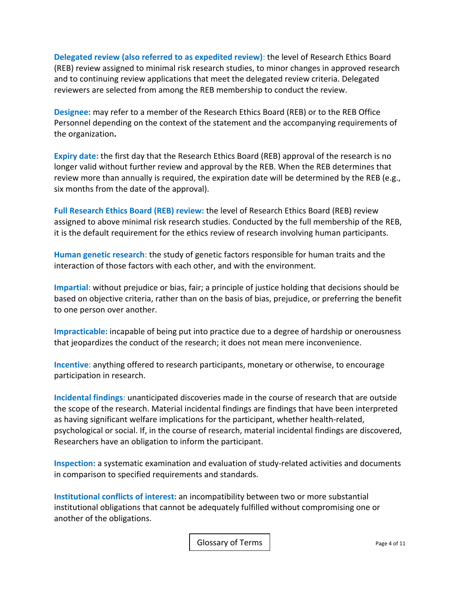**Delegated review (also referred to as expedited review)**: the level of Research Ethics Board (REB) review assigned to minimal risk research studies, to minor changes in approved research and to continuing review applications that meet the delegated review criteria. Delegated reviewers are selected from among the REB membership to conduct the review.

**Designee:** may refer to a member of the Research Ethics Board (REB) or to the REB Office Personnel depending on the context of the statement and the accompanying requirements of the organization**.**

**Expiry date:** the first day that the Research Ethics Board (REB) approval of the research is no longer valid without further review and approval by the REB. When the REB determines that review more than annually is required, the expiration date will be determined by the REB (e.g., six months from the date of the approval).

**Full Research Ethics Board (REB) review:** the level of Research Ethics Board (REB) review assigned to above minimal risk research studies. Conducted by the full membership of the REB, it is the default requirement for the ethics review of research involving human participants.

**Human genetic research**: the study of genetic factors responsible for human traits and the interaction of those factors with each other, and with the environment.

**Impartial**: without prejudice or bias, fair; a principle of justice holding that decisions should be based on objective criteria, rather than on the basis of bias, prejudice, or preferring the benefit to one person over another.

**Impracticable:** incapable of being put into practice due to a degree of hardship or onerousness that jeopardizes the conduct of the research; it does not mean mere inconvenience.

**Incentive**: anything offered to research participants, monetary or otherwise, to encourage participation in research.

**Incidental findings**: unanticipated discoveries made in the course of research that are outside the scope of the research. Material incidental findings are findings that have been interpreted as having significant welfare implications for the participant, whether health‐related, psychological or social. If, in the course of research, material incidental findings are discovered, Researchers have an obligation to inform the participant.

**Inspection:** a systematic examination and evaluation of study-related activities and documents in comparison to specified requirements and standards.

**Institutional conflicts of interest:** an incompatibility between two or more substantial institutional obligations that cannot be adequately fulfilled without compromising one or another of the obligations.

Glossary of Terms **Page 4 of 11**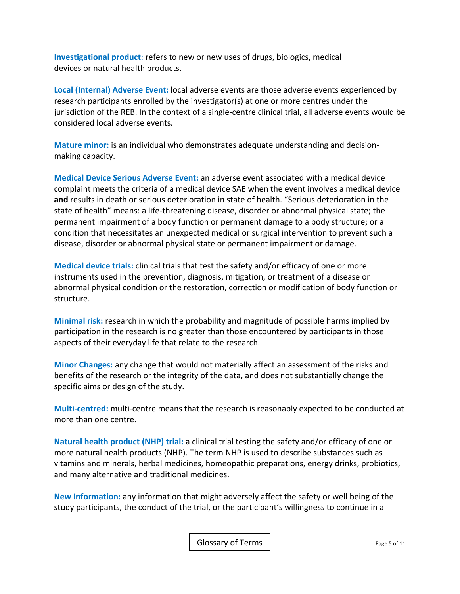**Investigational product**: refers to new or new uses of drugs, biologics, medical devices or natural health products.

**Local (Internal) Adverse Event:** local adverse events are those adverse events experienced by research participants enrolled by the investigator(s) at one or more centres under the jurisdiction of the REB. In the context of a single‐centre clinical trial, all adverse events would be considered local adverse events*.*

**Mature minor:** is an individual who demonstrates adequate understanding and decision‐ making capacity.

**Medical Device Serious Adverse Event:** an adverse event associated with a medical device complaint meets the criteria of a medical device SAE when the event involves a medical device **and** results in death or serious deterioration in state of health. "Serious deterioration in the state of health" means: a life‐threatening disease, disorder or abnormal physical state; the permanent impairment of a body function or permanent damage to a body structure; or a condition that necessitates an unexpected medical or surgical intervention to prevent such a disease, disorder or abnormal physical state or permanent impairment or damage.

**Medical device trials:** clinical trials that test the safety and/or efficacy of one or more instruments used in the prevention, diagnosis, mitigation, or treatment of a disease or abnormal physical condition or the restoration, correction or modification of body function or structure.

**Minimal risk:** research in which the probability and magnitude of possible harms implied by participation in the research is no greater than those encountered by participants in those aspects of their everyday life that relate to the research.

**Minor Changes:** any change that would not materially affect an assessment of the risks and benefits of the research or the integrity of the data, and does not substantially change the specific aims or design of the study.

**Multi‐centred:** multi‐centre means that the research is reasonably expected to be conducted at more than one centre.

**Natural health product (NHP) trial:** a clinical trial testing the safety and/or efficacy of one or more natural health products (NHP). The term NHP is used to describe substances such as vitamins and minerals, herbal medicines, homeopathic preparations, energy drinks, probiotics, and many alternative and traditional medicines.

**New Information:** any information that might adversely affect the safety or well being of the study participants, the conduct of the trial, or the participant's willingness to continue in a

Glossary of Terms | Page 5 of 11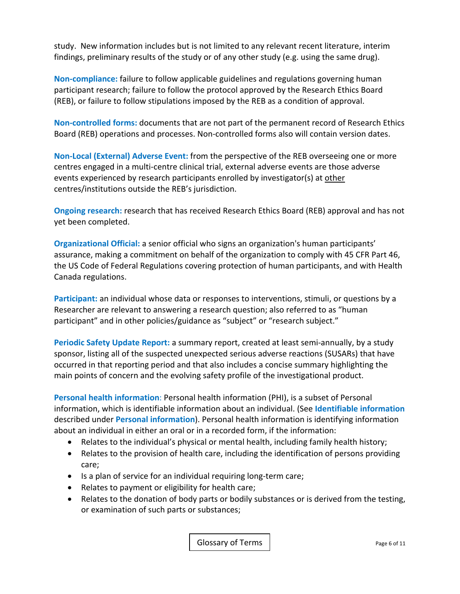study. New information includes but is not limited to any relevant recent literature, interim findings, preliminary results of the study or of any other study (e.g. using the same drug).

**Non‐compliance:** failure to follow applicable guidelines and regulations governing human participant research; failure to follow the protocol approved by the Research Ethics Board (REB), or failure to follow stipulations imposed by the REB as a condition of approval.

**Non‐controlled forms:** documents that are not part of the permanent record of Research Ethics Board (REB) operations and processes. Non‐controlled forms also will contain version dates.

**Non‐Local (External) Adverse Event:** from the perspective of the REB overseeing one or more centres engaged in a multi‐centre clinical trial, external adverse events are those adverse events experienced by research participants enrolled by investigator(s) at other centres/institutions outside the REB's jurisdiction.

**Ongoing research:** research that has received Research Ethics Board (REB) approval and has not yet been completed.

**Organizational Official:** a senior official who signs an organization's human participants' assurance, making a commitment on behalf of the organization to comply with 45 CFR Part 46, the US Code of Federal Regulations covering protection of human participants, and with Health Canada regulations.

**Participant:** an individual whose data or responses to interventions, stimuli, or questions by a Researcher are relevant to answering a research question; also referred to as "human participant" and in other policies/guidance as "subject" or "research subject."

Periodic Safety Update Report: a summary report, created at least semi-annually, by a study sponsor, listing all of the suspected unexpected serious adverse reactions (SUSARs) that have occurred in that reporting period and that also includes a concise summary highlighting the main points of concern and the evolving safety profile of the investigational product.

**Personal health information**: Personal health information (PHI), is a subset of Personal information, which is identifiable information about an individual. (See **Identifiable information** described under **Personal information**). Personal health information is identifying information about an individual in either an oral or in a recorded form, if the information:

- Relates to the individual's physical or mental health, including family health history;
- Relates to the provision of health care, including the identification of persons providing care;
- Is a plan of service for an individual requiring long-term care;
- Relates to payment or eligibility for health care;
- Relates to the donation of body parts or bodily substances or is derived from the testing, or examination of such parts or substances;

Glossary of Terms | The Contract Contract Contract Contract Contract Contract Contract Contract Contract Contract Contract Contract Contract Contract Contract Contract Contract Contract Contract Contract Contract Contract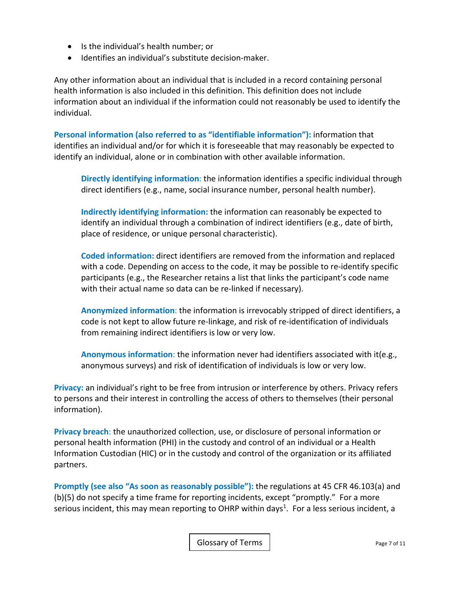- Is the individual's health number; or
- Identifies an individual's substitute decision-maker.

Any other information about an individual that is included in a record containing personal health information is also included in this definition. This definition does not include information about an individual if the information could not reasonably be used to identify the individual.

**Personal information (also referred to as "identifiable information"):** information that identifies an individual and/or for which it is foreseeable that may reasonably be expected to identify an individual, alone or in combination with other available information.

**Directly identifying information**: the information identifies a specific individual through direct identifiers (e.g., name, social insurance number, personal health number).

**Indirectly identifying information:** the information can reasonably be expected to identify an individual through a combination of indirect identifiers (e.g., date of birth, place of residence, or unique personal characteristic).

**Coded information:** direct identifiers are removed from the information and replaced with a code. Depending on access to the code, it may be possible to re-identify specific participants (e.g., the Researcher retains a list that links the participant's code name with their actual name so data can be re-linked if necessary).

**Anonymized information**: the information is irrevocably stripped of direct identifiers, a code is not kept to allow future re‐linkage, and risk of re‐identification of individuals from remaining indirect identifiers is low or very low.

**Anonymous information**: the information never had identifiers associated with it(e.g., anonymous surveys) and risk of identification of individuals is low or very low.

**Privacy:** an individual's right to be free from intrusion or interference by others. Privacy refers to persons and their interest in controlling the access of others to themselves (their personal information).

**Privacy breach**: the unauthorized collection, use, or disclosure of personal information or personal health information (PHI) in the custody and control of an individual or a Health Information Custodian (HIC) or in the custody and control of the organization or its affiliated partners.

**Promptly (see also "As soon as reasonably possible"):** the regulations at 45 CFR 46.103(a) and (b)(5) do not specify a time frame for reporting incidents, except "promptly." For a more serious incident, this may mean reporting to OHRP within days<sup>1</sup>. For a less serious incident, a

Glossary of Terms | example 2 of 11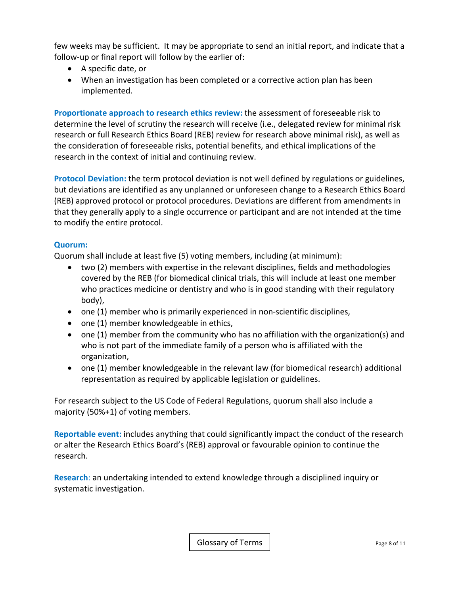few weeks may be sufficient. It may be appropriate to send an initial report, and indicate that a follow-up or final report will follow by the earlier of:

- A specific date, or
- When an investigation has been completed or a corrective action plan has been implemented.

**Proportionate approach to research ethics review:** the assessment of foreseeable risk to determine the level of scrutiny the research will receive (i.e., delegated review for minimal risk research or full Research Ethics Board (REB) review for research above minimal risk), as well as the consideration of foreseeable risks, potential benefits, and ethical implications of the research in the context of initial and continuing review.

**Protocol Deviation:** the term protocol deviation is not well defined by regulations or guidelines, but deviations are identified as any unplanned or unforeseen change to a Research Ethics Board (REB) approved protocol or protocol procedures. Deviations are different from amendments in that they generally apply to a single occurrence or participant and are not intended at the time to modify the entire protocol.

## **Quorum:**

Quorum shall include at least five (5) voting members, including (at minimum):

- two (2) members with expertise in the relevant disciplines, fields and methodologies covered by the REB (for biomedical clinical trials, this will include at least one member who practices medicine or dentistry and who is in good standing with their regulatory body),
- one (1) member who is primarily experienced in non-scientific disciplines,
- one (1) member knowledgeable in ethics,
- one (1) member from the community who has no affiliation with the organization(s) and who is not part of the immediate family of a person who is affiliated with the organization,
- one (1) member knowledgeable in the relevant law (for biomedical research) additional representation as required by applicable legislation or guidelines.

For research subject to the US Code of Federal Regulations, quorum shall also include a majority (50%+1) of voting members.

**Reportable event:** includes anything that could significantly impact the conduct of the research or alter the Research Ethics Board's (REB) approval or favourable opinion to continue the research.

**Research**: an undertaking intended to extend knowledge through a disciplined inquiry or systematic investigation.

Glossary of Terms | The Contract Contract Contract Contract Contract Contract Contract Contract Contract Contract Contract Contract Contract Contract Contract Contract Contract Contract Contract Contract Contract Contract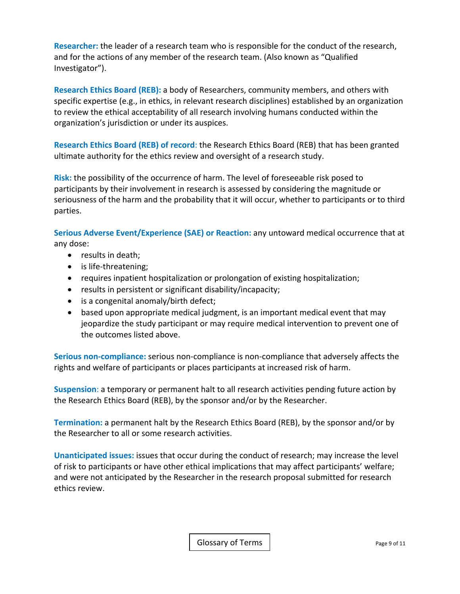**Researcher:** the leader of a research team who is responsible for the conduct of the research, and for the actions of any member of the research team. (Also known as "Qualified Investigator").

**Research Ethics Board (REB):** a body of Researchers, community members, and others with specific expertise (e.g., in ethics, in relevant research disciplines) established by an organization to review the ethical acceptability of all research involving humans conducted within the organization's jurisdiction or under its auspices.

**Research Ethics Board (REB) of record**: the Research Ethics Board (REB) that has been granted ultimate authority for the ethics review and oversight of a research study.

**Risk:** the possibility of the occurrence of harm. The level of foreseeable risk posed to participants by their involvement in research is assessed by considering the magnitude or seriousness of the harm and the probability that it will occur, whether to participants or to third parties.

**Serious Adverse Event/Experience (SAE) or Reaction:** any untoward medical occurrence that at any dose:

- results in death;
- is life-threatening;
- requires inpatient hospitalization or prolongation of existing hospitalization;
- results in persistent or significant disability/incapacity;
- is a congenital anomaly/birth defect;
- based upon appropriate medical judgment, is an important medical event that may jeopardize the study participant or may require medical intervention to prevent one of the outcomes listed above.

**Serious non‐compliance:** serious non‐compliance is non‐compliance that adversely affects the rights and welfare of participants or places participants at increased risk of harm.

**Suspension**: a temporary or permanent halt to all research activities pending future action by the Research Ethics Board (REB), by the sponsor and/or by the Researcher.

**Termination:** a permanent halt by the Research Ethics Board (REB), by the sponsor and/or by the Researcher to all or some research activities.

**Unanticipated issues:** issues that occur during the conduct of research; may increase the level of risk to participants or have other ethical implications that may affect participants' welfare; and were not anticipated by the Researcher in the research proposal submitted for research ethics review.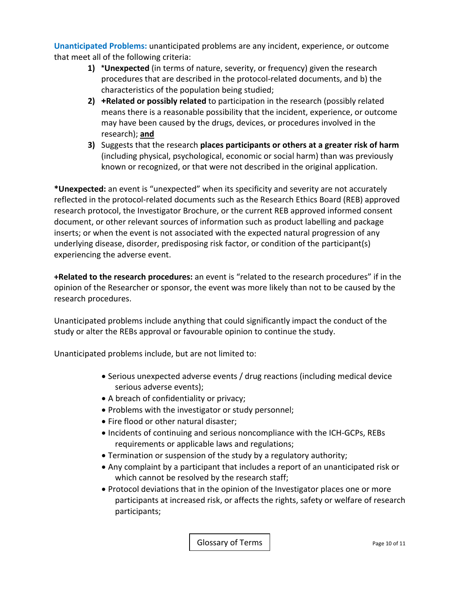**Unanticipated Problems:** unanticipated problems are any incident, experience, or outcome that meet all of the following criteria:

- **1) \*Unexpected** (in terms of nature, severity, or frequency) given the research procedures that are described in the protocol‐related documents, and b) the characteristics of the population being studied;
- **2) +Related or possibly related** to participation in the research (possibly related means there is a reasonable possibility that the incident, experience, or outcome may have been caused by the drugs, devices, or procedures involved in the research); **and**
- **3)** Suggests that the research **places participants or others at a greater risk of harm** (including physical, psychological, economic or social harm) than was previously known or recognized, or that were not described in the original application.

**\*Unexpected:** an event is "unexpected" when its specificity and severity are not accurately reflected in the protocol‐related documents such as the Research Ethics Board (REB) approved research protocol, the Investigator Brochure, or the current REB approved informed consent document, or other relevant sources of information such as product labelling and package inserts; or when the event is not associated with the expected natural progression of any underlying disease, disorder, predisposing risk factor, or condition of the participant(s) experiencing the adverse event.

**+Related to the research procedures:** an event is "related to the research procedures" if in the opinion of the Researcher or sponsor, the event was more likely than not to be caused by the research procedures.

Unanticipated problems include anything that could significantly impact the conduct of the study or alter the REBs approval or favourable opinion to continue the study.

Unanticipated problems include, but are not limited to:

- Serious unexpected adverse events / drug reactions (including medical device serious adverse events);
- A breach of confidentiality or privacy;
- Problems with the investigator or study personnel;
- Fire flood or other natural disaster;
- Incidents of continuing and serious noncompliance with the ICH-GCPs, REBs requirements or applicable laws and regulations;
- Termination or suspension of the study by a regulatory authority;
- Any complaint by a participant that includes a report of an unanticipated risk or which cannot be resolved by the research staff;
- Protocol deviations that in the opinion of the Investigator places one or more participants at increased risk, or affects the rights, safety or welfare of research participants;